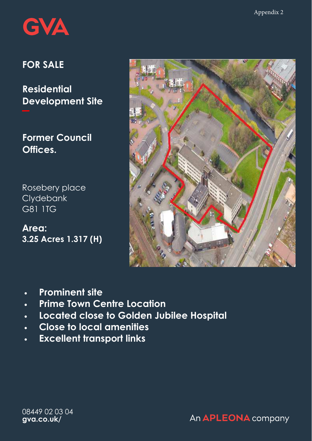

# **FOR SALE**

**Residential Development Site** 

**Former Council Offices.** 

Rosebery place **Clydebank** G81 1TG

**Area: 3.25 Acres 1.317 (H)** 



- **Prominent site**
- **Prime Town Centre Location**
- **Located close to Golden Jubilee Hospital**
- **Close to local amenities**
- **Excellent transport links**

08449 02 03 04 **gva.co.uk/**